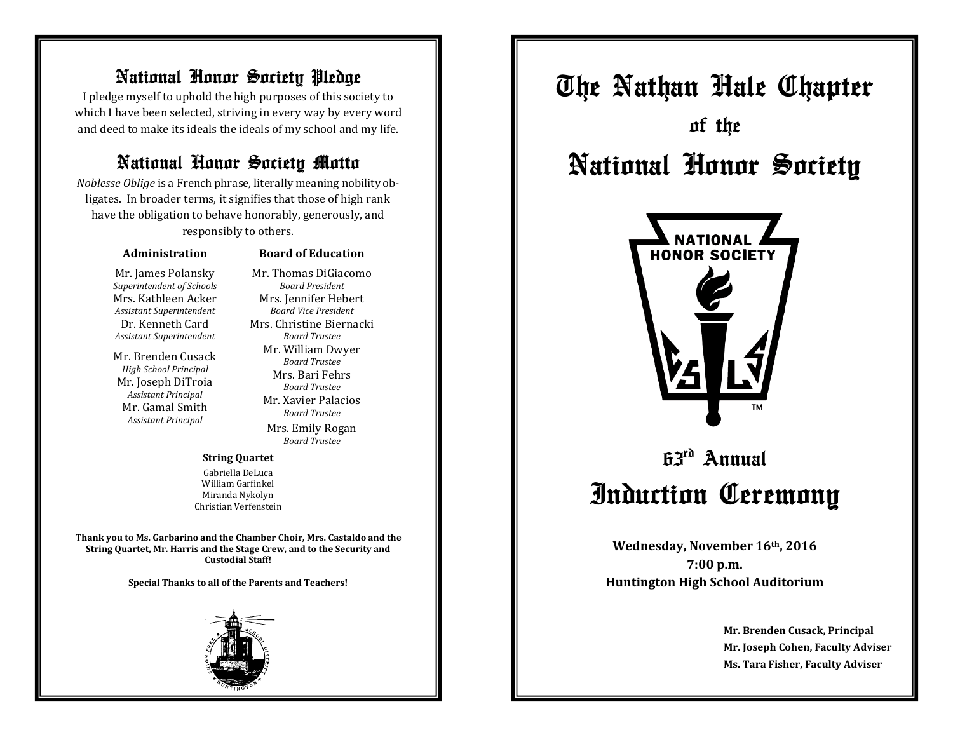### National Honor Society Pledge

I pledge myself to uphold the high purposes of this society to which I have been selected, striving in every way by every word and deed to make its ideals the ideals of my school and my life.

### National Honor Society Motto

*Noblesse Oblige* is a French phrase, literally meaning nobility obligates. In broader terms, it signifies that those of high rank have the obligation to behave honorably, generously, and responsibly to others.

#### **Administration**

#### **Board of Education** Mr. Thomas DiGiacomo

Mr. James Polansky *Superintendent of Schools* Mrs. Kathleen Acker *Assistant Superintendent* Dr. Kenneth Card *Assistant Superintendent*

Mr. Brenden Cusack *High School Principal* Mr. Joseph DiTroia *Assistant Principal* Mr. Gamal Smith *Assistant Principal*

*Board President* Mrs. Jennifer Hebert *Board Vice President* Mrs. Christine Biernacki *Board Trustee* Mr. William Dwyer *Board Trustee* Mrs. Bari Fehrs *Board Trustee* Mr. Xavier Palacios *Board Trustee* Mrs. Emily Rogan

*Board Trustee*

**String Quartet**

Gabriella DeLuca William Garfinkel Miranda Nykolyn Christian Verfenstein

**Thank you to Ms. Garbarino and the Chamber Choir, Mrs. Castaldo and the String Quartet, Mr. Harris and the Stage Crew, and to the Security and Custodial Staff!**

**Special Thanks to all of the Parents and Teachers!**



The Nathan Hale Chapter of the National Honor Society



# 63rd Annual Induction Ceremony

**Wednesday, November 16th, 2016 7:00 p.m. Huntington High School Auditorium**

> **Mr. Brenden Cusack, Principal Mr. Joseph Cohen, Faculty Adviser Ms. Tara Fisher, Faculty Adviser**